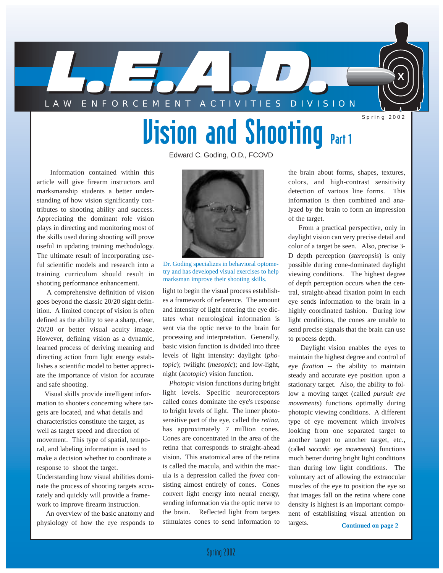

# **Vision and Shooting Part 1**

Edward C. Goding, O.D., FCOVD

Information contained within this article will give firearm instructors and marksmanship students a better understanding of how vision significantly contributes to shooting ability and success. Appreciating the dominant role vision plays in directing and monitoring most of the skills used during shooting will prove useful in updating training methodology. The ultimate result of incorporating useful scientific models and research into a training curriculum should result in shooting performance enhancement.

A comprehensive definition of vision goes beyond the classic 20/20 sight definition. A limited concept of vision is often defined as the ability to see a sharp, clear, 20/20 or better visual acuity image. However, defining vision as a dynamic, learned process of deriving meaning and directing action from light energy establishes a scientific model to better appreciate the importance of vision for accurate and safe shooting.

Visual skills provide intelligent information to shooters concerning where targets are located, and what details and characteristics constitute the target, as well as target speed and direction of movement. This type of spatial, temporal, and labeling information is used to make a decision whether to coordinate a response to shoot the target. Understanding how visual abilities dominate the process of shooting targets accurately and quickly will provide a framework to improve firearm instruction.

An overview of the basic anatomy and physiology of how the eye responds to



Dr. Goding specializes in behavioral optometry and has developed visual exercises to help marksman improve their shooting skills.

light to begin the visual process establishes a framework of reference. The amount and intensity of light entering the eye dictates what neurological information is sent via the optic nerve to the brain for processing and interpretation. Generally, basic vision function is divided into three levels of light intensity: daylight (*photopic*); twilight (*mesopic*); and low-light, night (*scotopic*) vision function.

*Photopic* vision functions during bright light levels. Specific neuroreceptors called cones dominate the eye's response to bright levels of light. The inner photosensitive part of the eye, called the *retina*, has approximately 7 million cones. Cones are concentrated in the area of the retina that corresponds to straight-ahead vision. This anatomical area of the retina is called the macula, and within the macula is a depression called the *fovea* consisting almost entirely of cones. Cones convert light energy into neural energy, sending information via the optic nerve to the brain. Reflected light from targets stimulates cones to send information to

the brain about forms, shapes, textures, colors, and high-contrast sensitivity detection of various line forms. This information is then combined and analyzed by the brain to form an impression of the target.

From a practical perspective, only in daylight vision can very precise detail and color of a target be seen. Also, precise 3- D depth perception (*stereopsis*) is only possible during cone-dominated daylight viewing conditions. The highest degree of depth perception occurs when the central, straight-ahead fixation point in each eye sends information to the brain in a highly coordinated fashion. During low light conditions, the cones are unable to send precise signals that the brain can use to process depth.

Daylight vision enables the eyes to maintain the highest degree and control of eye *fixation* -- the ability to maintain steady and accurate eye position upon a stationary target. Also, the ability to follow a moving target (called *pursuit eye movements*) functions optimally during photopic viewing conditions. A different type of eye movement which involves looking from one separated target to another target to another target, etc., (called *saccadic eye movements*) functions much better during bright light conditions than during low light conditions. The voluntary act of allowing the extraocular muscles of the eye to position the eye so that images fall on the retina where cone density is highest is an important component of establishing visual attention on targets.

**Continued on page 2**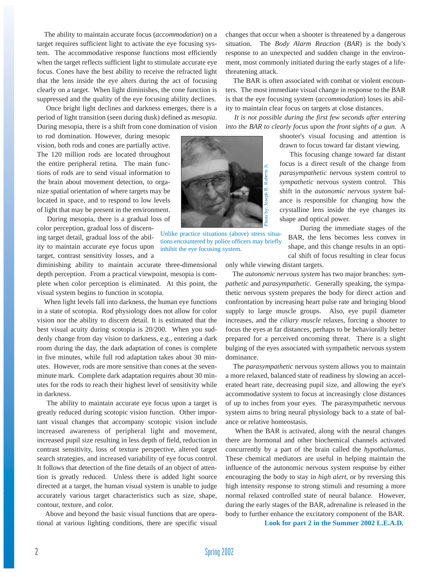The ability to maintain accurate focus (*accommodation*) on a target requires sufficient light to activate the eye focusing system. The accommodative response functions most efficiently when the target reflects sufficient light to stimulate accurate eye focus. Cones have the best ability to receive the refracted light that the lens inside the eye alters during the act of focusing clearly on a target. When light diminishes, the cone function is suppressed and the quality of the eye focusing ability declines.

Once bright light declines and darkness emerges, there is a period of light transition (seen during dusk) defined as *mesopia*. During mesopia, there is a shift from cone domination of vision

to rod domination. However, during mesopic vision, both rods and cones are partially active. The 120 million rods are located throughout the entire peripheral retina. The main functions of rods are to send visual information to the brain about movement detection, to organize spatial orientation of where targets may be located in space, and to respond to low levels of light that may be present in the environment.

During mesopia, there is a gradual loss of color perception, gradual loss of discerning target detail, gradual loss of the ability to maintain accurate eye focus upon target, contrast sensitivity losses, and a

diminishing ability to maintain accurate three-dimensional depth perception. From a practical viewpoint, mesopia is complete when color perception is eliminated. At this point, the visual system begins to function in scotopia.

When light levels fall into darkness, the human eye functions in a state of scotopia. Rod physiology does not allow for color vision nor the ability to discern detail. It is estimated that the best visual acuity during scotopia is 20/200. When you suddenly change from day vision to darkness, e.g., entering a dark room during the day, the dark adaptation of cones is complete in five minutes, while full rod adaptation takes about 30 minutes. However, rods are more sensitive than cones at the sevenminute mark. Complete dark adaptation requires about 30 minutes for the rods to reach their highest level of sensitivity while in darkness.

The ability to maintain accurate eye focus upon a target is greatly reduced during scotopic vision function. Other important visual changes that accompany scotopic vision include increased awareness of peripheral light and movement, increased pupil size resulting in less depth of field, reduction in contrast sensitivity, loss of texture perspective, altered target search strategies, and increased variability of eye focus control. It follows that detection of the fine details of an object of attention is greatly reduced. Unless there is added light source directed at a target, the human visual system is unable to judge accurately various target characteristics such as size, shape, contour, texture, and color.

Above and beyond the basic visual functions that are operational at various lighting conditions, there are specific visual changes that occur when a shooter is threatened by a dangerous situation. The *Body Alarm Reaction* (*BAR*) is the body's response to an unexpected and sudden change in the environment, most commonly initiated during the early stages of a lifethreatening attack.

The BAR is often associated with combat or violent encounters. The most immediate visual change in response to the BAR is that the eye focusing system (*accommodation*) loses its ability to maintain clear focus on targets at close distances.

*It is not possible during the first few seconds after entering into the BAR to clearly focus upon the front sights of a gun.* A

> shooter's visual focusing and attention is drawn to focus toward far distant viewing.

This focusing change toward far distant focus is a direct result of the change from *parasympathetic* nervous system control to *sympathetic* nervous system control. This shift in the *autonomic nervous system* balance is responsible for changing how the crystalline lens inside the eye changes its shape and optical power.

During the immediate stages of the BAR, the lens becomes less convex in shape, and this change results in an optical shift of focus resulting in clear focus

only while viewing distant targets.

The *autonomic nervous system* has two major branches: *sympathetic* and *parasympathetic*. Generally speaking, the sympathetic nervous system prepares the body for direct action and confrontation by increasing heart pulse rate and bringing blood supply to large muscle groups. Also, eye pupil diameter increases, and the *ciliary muscle* relaxes, forcing a shooter to focus the eyes at far distances, perhaps to be behaviorally better prepared for a perceived oncoming threat. There is a slight bulging of the eyes associated with sympathetic nervous system dominance.

The *parasympathetic* nervous system allows you to maintain a more relaxed, balanced state of readiness by slowing an accelerated heart rate, decreasing pupil size, and allowing the eye's accommodative system to focus at increasingly close distances of up to inches from your eyes. The parasympathetic nervous system aims to bring neural physiology back to a state of balance or relative homeostasis.

When the BAR is activated, along with the neural changes there are hormonal and other biochemical channels activated concurrently by a part of the brain called the *hypothalamus*. These chemical mediators are useful in helping maintain the influence of the autonomic nervous system response by either encouraging the body to stay in *high alert*, or by reversing this high intensity response to strong stimuli and resuming a more normal relaxed controlled state of neural balance. However, during the early stages of the BAR, adrenaline is released in the body to further enhance the excitatory component of the BAR.

**Look for part 2 in the Summer 2002 L.E.A.D.**



Unlike practice situations (above) stress situations encountered by police officers may briefly inhibit the eye focusing system.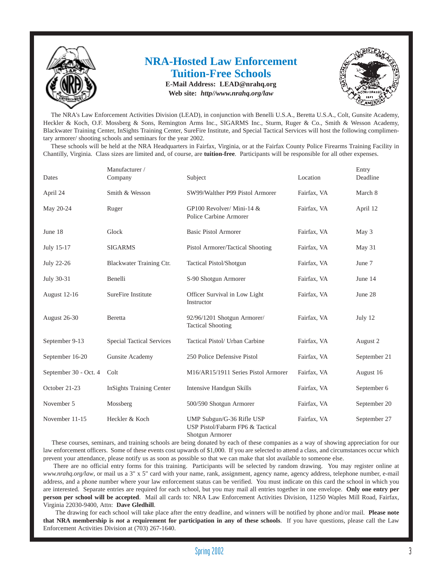

#### **NRA-Hosted Law Enforcement Tuition-Free Schools E-Mail Address: LEAD@nrahq.org**

**Web site:** *http//www.nrahq.org/law* 



The NRA's Law Enforcement Activities Division (LEAD), in conjunction with Benelli U.S.A., Beretta U.S.A., Colt, Gunsite Academy, Heckler & Koch, O.F. Mossberg & Sons, Remington Arms Inc., SIGARMS Inc., Sturm, Ruger & Co., Smith & Wesson Academy, Blackwater Training Center, InSights Training Center, SureFire Institute, and Special Tactical Services will host the following complimentary armorer/ shooting schools and seminars for the year 2002.

These schools will be held at the NRA Headquarters in Fairfax, Virginia, or at the Fairfax County Police Firearms Training Facility in Chantilly, Virginia. Class sizes are limited and, of course, are **tuition-free**. Participants will be responsible for all other expenses.

| Dates                 | Manufacturer /<br>Company        | Subject                                                                          | Location    | Entry<br>Deadline |
|-----------------------|----------------------------------|----------------------------------------------------------------------------------|-------------|-------------------|
| April 24              | Smith & Wesson                   | SW99/Walther P99 Pistol Armorer                                                  | Fairfax, VA | March 8           |
| May 20-24             | Ruger                            | GP100 Revolver/ Mini-14 &<br>Police Carbine Armorer                              | Fairfax, VA | April 12          |
| June 18               | Glock                            | <b>Basic Pistol Armorer</b>                                                      | Fairfax, VA | May 3             |
| July 15-17            | <b>SIGARMS</b>                   | Pistol Armorer/Tactical Shooting                                                 | Fairfax, VA | May 31            |
| July 22-26            | Blackwater Training Ctr.         | Tactical Pistol/Shotgun                                                          | Fairfax, VA | June 7            |
| July 30-31            | Benelli                          | S-90 Shotgun Armorer                                                             | Fairfax, VA | June 14           |
| August 12-16          | SureFire Institute               | Officer Survival in Low Light<br>Instructor                                      | Fairfax, VA | June 28           |
| August 26-30          | Beretta                          | 92/96/1201 Shotgun Armorer/<br><b>Tactical Shooting</b>                          | Fairfax, VA | July 12           |
| September 9-13        | <b>Special Tactical Services</b> | Tactical Pistol/ Urban Carbine                                                   | Fairfax, VA | August 2          |
| September 16-20       | Gunsite Academy                  | 250 Police Defensive Pistol                                                      | Fairfax, VA | September 21      |
| September 30 - Oct. 4 | Colt                             | M16/AR15/1911 Series Pistol Armorer                                              | Fairfax, VA | August 16         |
| October 21-23         | <b>InSights Training Center</b>  | <b>Intensive Handgun Skills</b>                                                  | Fairfax, VA | September 6       |
| November 5            | Mossberg                         | 500/590 Shotgun Armorer                                                          | Fairfax, VA | September 20      |
| November 11-15        | Heckler & Koch                   | UMP Subgun/G-36 Rifle USP<br>USP Pistol/Fabarm FP6 & Tactical<br>Shotgun Armorer | Fairfax, VA | September 27      |

These courses, seminars, and training schools are being donated by each of these companies as a way of showing appreciation for our law enforcement officers. Some of these events cost upwards of \$1,000. If you are selected to attend a class, and circumstances occur which prevent your attendance, please notify us as soon as possible so that we can make that slot available to someone else.

There are no official entry forms for this training. Participants will be selected by random drawing. You may register online at *www.nrahq.org/law*, or mail us a 3" x 5" card with your name, rank, assignment, agency name, agency address, telephone number, e-mail address, and a phone number where your law enforcement status can be verified. You must indicate on this card the school in which you are interested. Separate entries are required for each school, but you may mail all entries together in one envelope. **Only one entry per person per school will be accepted**. Mail all cards to: NRA Law Enforcement Activities Division, 11250 Waples Mill Road, Fairfax, Virginia 22030-9400, Attn: **Dave Gledhill**.

The drawing for each school will take place after the entry deadline, and winners will be notified by phone and/or mail. **Please note that NRA membership is** *not* **a requirement for participation in any of these schools**. If you have questions, please call the Law Enforcement Activities Division at (703) 267-1640.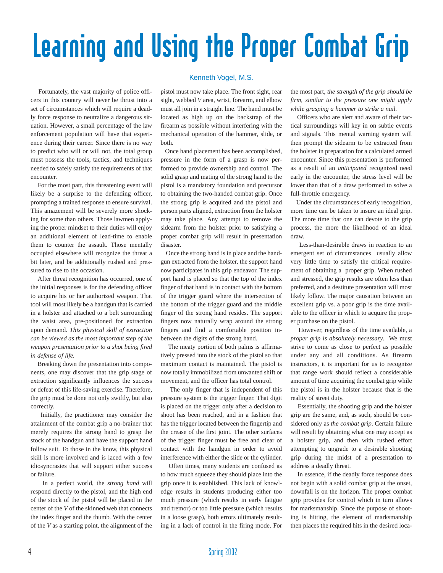# Learning and Using the Proper Combat Grip

Fortunately, the vast majority of police officers in this country will never be thrust into a set of circumstances which will require a deadly force response to neutralize a dangerous situation. However, a small percentage of the law enforcement population will have that experience during their career. Since there is no way to predict who will or will not, the total group must possess the tools, tactics, and techniques needed to safely satisfy the requirements of that encounter.

For the most part, this threatening event will likely be a surprise to the defending officer, prompting a trained response to ensure survival. This amazement will be severely more shocking for some than others. Those lawmen applying the proper mindset to their duties will enjoy an additional element of lead-time to enable them to counter the assault. Those mentally occupied elsewhere will recognize the threat a bit later, and be additionally rushed and pressured to rise to the occasion.

After threat recognition has occurred, one of the initial responses is for the defending officer to acquire his or her authorized weapon. That tool will most likely be a handgun that is carried in a holster and attached to a belt surrounding the waist area, pre-positioned for extraction upon demand. *This physical skill of extraction can be viewed as the most important step of the weapon presentation prior to a shot being fired in defense of life.*

Breaking down the presentation into components, one may discover that the grip stage of extraction significantly influences the success or defeat of this life-saving exercise. Therefore, the grip must be done not only swiftly, but also correctly.

Initially, the practitioner may consider the attainment of the combat grip a no-brainer that merely requires the strong hand to grasp the stock of the handgun and have the support hand follow suit. To those in the know, this physical skill is more involved and is laced with a few idiosyncrasies that will support either success or failure.

In a perfect world, the *strong hand* will respond directly to the pistol, and the high end of the stock of the pistol will be placed in the center of the *V* of the skinned web that connects the index finger and the thumb. With the center of the *V* as a starting point, the alignment of the

#### Kenneth Vogel, M.S.

pistol must now take place. The front sight, rear sight, webbed *V* area, wrist, forearm, and elbow must all join in a straight line. The hand must be located as high up on the backstrap of the firearm as possible without interfering with the mechanical operation of the hammer, slide, or both.

Once hand placement has been accomplished, pressure in the form of a grasp is now performed to provide ownership and control. The solid grasp and mating of the strong hand to the pistol is a mandatory foundation and precursor to obtaining the two-handed combat grip. Once the strong grip is acquired and the pistol and person parts aligned, extraction from the holster may take place. Any attempt to remove the sidearm from the holster prior to satisfying a proper combat grip will result in presentation disaster.

Once the strong hand is in place and the handgun extracted from the holster, the support hand now participates in this grip endeavor. The support hand is placed so that the top of the index finger of that hand is in contact with the bottom of the trigger guard where the intersection of the bottom of the trigger guard and the middle finger of the strong hand resides. The support fingers now naturally wrap around the strong fingers and find a comfortable position inbetween the digits of the strong hand.

The meaty portion of both palms is affirmatively pressed into the stock of the pistol so that maximum contact is maintained. The pistol is now totally immobilized from unwanted shift or movement, and the officer has total control.

The only finger that is independent of this pressure system is the trigger finger. That digit is placed on the trigger only after a decision to shoot has been reached, and in a fashion that has the trigger located between the fingertip and the crease of the first joint. The other surfaces of the trigger finger must be free and clear of contact with the handgun in order to avoid interference with either the slide or the cylinder.

Often times, many students are confused as to how much squeeze they should place into the grip once it is established. This lack of knowledge results in students producing either too much pressure (which results in early fatigue and tremor) or too little pressure (which results in a loose grasp), both errors ultimately resulting in a lack of control in the firing mode. For

the most part, *the strength of the grip should be firm, similar to the pressure one might apply while grasping a hammer to strike a nail.*

Officers who are alert and aware of their tactical surroundings will key in on subtle events and signals. This mental warning system will then prompt the sidearm to be extracted from the holster in preparation for a calculated armed encounter. Since this presentation is performed as a result of an *anticipated* recognized need early in the encounter, the stress level will be lower than that of a draw performed to solve a full-throttle emergency.

Under the circumstances of early recognition, more time can be taken to insure an ideal grip. The more time that one can devote to the grip process, the more the likelihood of an ideal draw.

Less-than-desirable draws in reaction to an emergent set of circumstances usually allow very little time to satisfy the critical requirement of obtaining a proper grip. When rushed and stressed, the grip results are often less than preferred, and a destitute presentation will most likely follow. The major causation between an excellent grip vs. a poor grip is the time available to the officer in which to acquire the proper purchase on the pistol.

However, regardless of the time available, a *proper grip is absolutely necessary*. We must strive to come as close to perfect as possible under any and all conditions. As firearm instructors, it is important for us to recognize that range work should reflect a considerable amount of time acquiring the combat grip while the pistol is in the holster because that is the reality of street duty.

Essentially, the shooting grip and the holster grip are the same, and, as such, should be considered only as *the combat grip*. Certain failure will result by obtaining what one may accept as a holster grip, and then with rushed effort attempting to upgrade to a desirable shooting grip during the midst of a presentation to address a deadly threat.

In essence, if the deadly force response does not begin with a solid combat grip at the onset, downfall is on the horizon. The proper combat grip provides for control which in turn allows for marksmanship. Since the purpose of shooting is hitting, the element of marksmanship then places the required hits in the desired loca-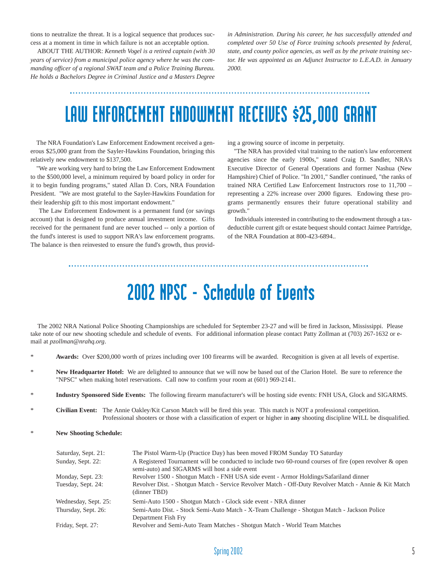tions to neutralize the threat. It is a logical sequence that produces success at a moment in time in which failure is not an acceptable option.

ABOUT THE AUTHOR: *Kenneth Vogel is a retired captain (with 30 years of service) from a municipal police agency where he was the commanding officer of a regional SWAT team and a Police Training Bureau. He holds a Bachelors Degree in Criminal Justice and a Masters Degree* *in Administration. During his career, he has successfully attended and completed over 50 Use of Force training schools presented by federal, state, and county police agencies, as well as by the private training sector. He was appointed as an Adjunct Instructor to L.E.A.D. in January 2000.*

## LAW ENFORCEMENT ENDOWMENT RECEIVES \$25,000 GRANT

The NRA Foundation's Law Enforcement Endowment received a generous \$25,000 grant from the Sayler-Hawkins Foundation, bringing this relatively new endowment to \$137,500.

"We are working very hard to bring the Law Enforcement Endowment to the \$500,000 level, a minimum required by board policy in order for it to begin funding programs," stated Allan D. Cors, NRA Foundation President. "We are most grateful to the Sayler-Hawkins Foundation for their leadership gift to this most important endowment."

The Law Enforcement Endowment is a permanent fund (or savings account) that is designed to produce annual investment income. Gifts received for the permanent fund are never touched -- only a portion of the fund's interest is used to support NRA's law enforcement programs. The balance is then reinvested to ensure the fund's growth, thus providing a growing source of income in perpetuity.

"The NRA has provided vital training to the nation's law enforcement agencies since the early 1900s," stated Craig D. Sandler, NRA's Executive Director of General Operations and former Nashua (New Hampshire) Chief of Police. "In 2001," Sandler continued, "the ranks of trained NRA Certified Law Enforcement Instructors rose to 11,700 – representing a 22% increase over 2000 figures. Endowing these programs permanently ensures their future operational stability and growth."

Individuals interested in contributing to the endowment through a taxdeductible current gift or estate bequest should contact Jaimee Partridge, of the NRA Foundation at 800-423-6894..

## 2002 NPSC - Schedule of Events

The 2002 NRA National Police Shooting Championships are scheduled for September 23-27 and will be fired in Jackson, Mississippi. Please take note of our new shooting schedule and schedule of events. For additional information please contact Patty Zollman at (703) 267-1632 or email at *pzollman@nrahq.org*.

- \* **Awards:** Over \$200,000 worth of prizes including over 100 firearms will be awarded. Recognition is given at all levels of expertise.
- New Headquarter Hotel: We are delighted to announce that we will now be based out of the Clarion Hotel. Be sure to reference the "NPSC" when making hotel reservations. Call now to confirm your room at (601) 969-2141.
- \* **Industry Sponsored Side Events:** The following firearm manufacturer's will be hosting side events: FNH USA, Glock and SIGARMS.
- \* **Civilian Event:** The Annie Oakley/Kit Carson Match will be fired this year. This match is NOT a professional competition. Professional shooters or those with a classification of expert or higher in **any** shooting discipline WILL be disqualified.
- \* **New Shooting Schedule:**

| Saturday, Sept. 21:  | The Pistol Warm-Up (Practice Day) has been moved FROM Sunday TO Saturday                                                                                 |
|----------------------|----------------------------------------------------------------------------------------------------------------------------------------------------------|
| Sunday, Sept. 22:    | A Registered Tournament will be conducted to include two 60-round courses of fire (open revolver & open<br>semi-auto) and SIGARMS will host a side event |
| Monday, Sept. 23:    | Revolver 1500 - Shotgun Match - FNH USA side event - Armor Holdings/Safariland dinner                                                                    |
| Tuesday, Sept. 24:   | Revolver Dist. - Shotgun Match - Service Revolver Match - Off-Duty Revolver Match - Annie & Kit Match<br>(dinner TBD)                                    |
| Wednesday, Sept. 25: | Semi-Auto 1500 - Shotgun Match - Glock side event - NRA dinner                                                                                           |
| Thursday, Sept. 26:  | Semi-Auto Dist. - Stock Semi-Auto Match - X-Team Challenge - Shotgun Match - Jackson Police<br>Department Fish Fry                                       |
| Friday, Sept. 27:    | Revolver and Semi-Auto Team Matches - Shotgun Match - World Team Matches                                                                                 |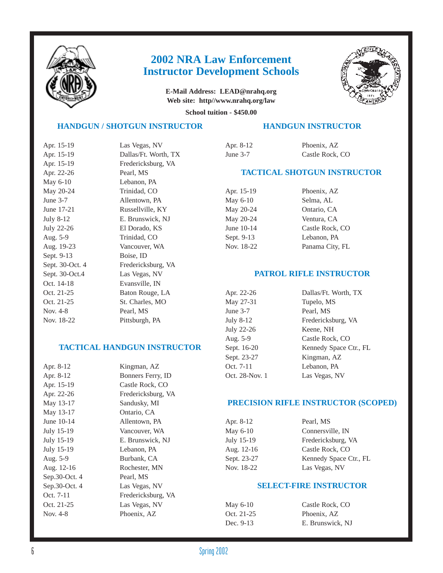

#### **2002 NRA Law Enforcement Instructor Development Schools**

**E-Mail Address: LEAD@nrahq.org Web site: http//www.nrahq.org/law** 



**School tuition - \$450.00** 

#### **HANDGUN / SHOTGUN INSTRUCTOR**

| Apr. 15-19      | Las Vegas, NV        |
|-----------------|----------------------|
| Apr. 15-19      | Dallas/Ft. Worth, TX |
| Apr. 15-19      | Fredericksburg, VA   |
| Apr. 22-26      | Pearl, MS            |
| May 6-10        | Lebanon, PA          |
| May 20-24       | Trinidad, CO         |
| June $3-7$      | Allentown, PA        |
| June 17-21      | Russellville, KY     |
| July 8-12       | E. Brunswick, NJ     |
| July 22-26      | El Dorado, KS        |
| Aug. 5-9        | Trinidad, CO         |
| Aug. 19-23      | Vancouver, WA        |
| Sept. 9-13      | Boise, ID            |
| Sept. 30-Oct. 4 | Fredericksburg, VA   |
| Sept. 30-Oct.4  | Las Vegas, NV        |
| Oct. 14-18      | Evansville, IN       |
| Oct. 21-25      | Baton Rouge, LA      |
| Oct. 21-25      | St. Charles, MO      |
| Nov. 4-8        | Pearl, MS            |
| Nov. 18-22      | Pittsburgh, PA       |
|                 |                      |

#### **TACTICAL HANDGUN INSTRUCTOR**

| Apr. 8-12     | Kingman, AZ        |
|---------------|--------------------|
| Apr. 8-12     | Bonners Ferry, ID  |
| Apr. 15-19    | Castle Rock, CO    |
| Apr. 22-26    | Fredericksburg, VA |
| May 13-17     | Sandusky, MI       |
| May 13-17     | Ontario, CA        |
| June 10-14    | Allentown, PA      |
| July 15-19    | Vancouver, WA      |
| July 15-19    | E. Brunswick, NJ   |
| July 15-19    | Lebanon, PA        |
| Aug. 5-9      | Burbank, CA        |
| Aug. 12-16    | Rochester, MN      |
| Sep.30-Oct. 4 | Pearl, MS          |
| Sep.30-Oct. 4 | Las Vegas, NV      |
| Oct. 7-11     | Fredericksburg, VA |
| Oct. 21-25    | Las Vegas, NV      |
| Nov. 4-8      | Phoenix, AZ        |
|               |                    |

| Apr. 8-12  | Phoenix, AZ     |
|------------|-----------------|
| June $3-7$ | Castle Rock, CO |

#### **TACTICAL SHOTGUN INSTRUCTOR**

**HANDGUN INSTRUCTOR** 

| Apr. 15-19 | Phoenix, AZ     |
|------------|-----------------|
| May 6-10   | Selma, AL       |
| May 20-24  | Ontario, CA     |
| May 20-24  | Ventura, CA     |
| June 10-14 | Castle Rock, CO |
| Sept. 9-13 | Lebanon, PA     |
| Nov. 18-22 | Panama City, FL |

#### **PATROL RIFLE INSTRUCTOR**

| Apr. 22-26     | Dallas/Ft. Worth, TX   |
|----------------|------------------------|
| May 27-31      | Tupelo, MS             |
| June $3-7$     | Pearl, MS              |
| July 8-12      | Fredericksburg, VA     |
| July 22-26     | Keene, NH              |
| Aug. 5-9       | Castle Rock, CO        |
| Sept. 16-20    | Kennedy Space Ctr., FL |
| Sept. 23-27    | Kingman, AZ            |
| Oct. 7-11      | Lebanon, PA            |
| Oct. 28-Nov. 1 | Las Vegas, NV          |

#### **PRECISION RIFLE INSTRUCTOR (SCOPED)**

| Apr. 8-12   | Pearl, MS              |
|-------------|------------------------|
| May 6-10    | Connersville, IN       |
| July 15-19  | Fredericksburg, VA     |
| Aug. 12-16  | Castle Rock, CO        |
| Sept. 23-27 | Kennedy Space Ctr., FL |
| Nov. 18-22  | Las Vegas, NV          |

#### **SELECT-FIRE INSTRUCTOR**

| May 6-10   | Castle Rock, CO  |
|------------|------------------|
| Oct. 21-25 | Phoenix, AZ      |
| Dec. 9-13  | E. Brunswick, NJ |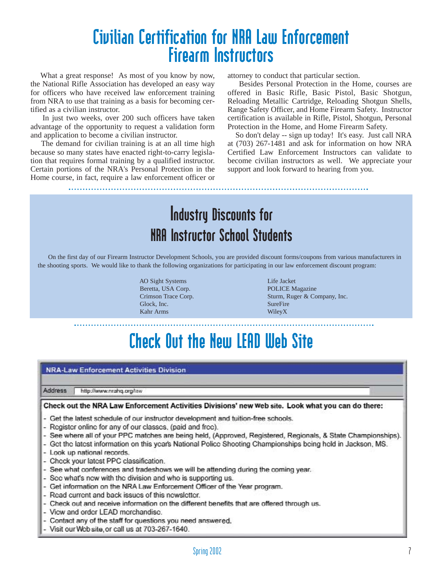### Civilian Certification for NRA Law Enforcement Firearm Instructors

What a great response! As most of you know by now, the National Rifle Association has developed an easy way for officers who have received law enforcement training from NRA to use that training as a basis for becoming certified as a civilian instructor.

In just two weeks, over 200 such officers have taken advantage of the opportunity to request a validation form and application to become a civilian instructor.

The demand for civilian training is at an all time high because so many states have enacted right-to-carry legislation that requires formal training by a qualified instructor. Certain portions of the NRA's Personal Protection in the Home course, in fact, require a law enforcement officer or attorney to conduct that particular section.

Besides Personal Protection in the Home, courses are offered in Basic Rifle, Basic Pistol, Basic Shotgun, Reloading Metallic Cartridge, Reloading Shotgun Shells, Range Safety Officer, and Home Firearm Safety. Instructor certification is available in Rifle, Pistol, Shotgun, Personal Protection in the Home, and Home Firearm Safety.

So don't delay -- sign up today! It's easy. Just call NRA at (703) 267-1481 and ask for information on how NRA Certified Law Enforcement Instructors can validate to become civilian instructors as well. We appreciate your support and look forward to hearing from you.

### Industry Discounts for NRA Instructor School Students

On the first day of our Firearm Instructor Development Schools, you are provided discount forms/coupons from various manufacturers in the shooting sports. We would like to thank the following organizations for participating in our law enforcement discount program:

> AO Sight Systems Life Jacket Beretta, USA Corp. POLICE Magazine Glock, Inc. SureFire Kahr Arms WileyX

Crimson Trace Corp. Sturm, Ruger & Company, Inc.

## Check Out the New LEAD Web Site

#### **NRA-Law Enforcement Activities Division**

Address http://www.nrahq.org/law

#### Check out the NRA Law Enforcement Activities Divisions' new Web site. Look what you can do there:

- Get the latest schedule of our instructor development and tuition-free schools.
- Register online for any of our classes, (paid and free).
- See where all of your PPC matches are being held, (Approved, Registered, Regionals, & State Championships).
- Get the latest information on this year's National Police Shooting Championships being held in Jackson, MS.
- Look up national records.
- Check your latest PPC classification.
- See what conferences and tradeshows we will be attending during the coming year.
- Scc what's ncw with the division and who is supporting us.
- Get information on the NRA Law Enforcement Officer of the Year program.
- Read current and back issues of this newsletter.
- Check out and receive information on the different benefits that are offered through us.
- View and order LEAD merchandise.
- Contact any of the staff for questions you need answered.
- Visit our Wcb site, or call us at 703-267-1640.